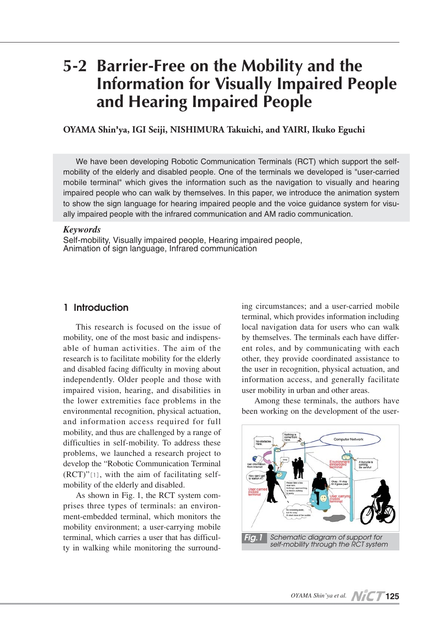# **5-2 Barrier-Free on the Mobility and the Information for Visually Impaired People and Hearing Impaired People**

**OYAMA Shin'ya, IGI Seiji, NISHIMURA Takuichi, and YAIRI, Ikuko Eguchi**

We have been developing Robotic Communication Terminals (RCT) which support the selfmobility of the elderly and disabled people. One of the terminals we developed is "user-carried mobile terminal" which gives the information such as the navigation to visually and hearing impaired people who can walk by themselves. In this paper, we introduce the animation system to show the sign language for hearing impaired people and the voice guidance system for visually impaired people with the infrared communication and AM radio communication.

#### *Keywords*

Self-mobility, Visually impaired people, Hearing impaired people, Animation of sign language, Infrared communication

#### **1 Introduction**

This research is focused on the issue of mobility, one of the most basic and indispensable of human activities. The aim of the research is to facilitate mobility for the elderly and disabled facing difficulty in moving about independently. Older people and those with impaired vision, hearing, and disabilities in the lower extremities face problems in the environmental recognition, physical actuation, and information access required for full mobility, and thus are challenged by a range of difficulties in self-mobility. To address these problems, we launched a research project to develop the "Robotic Communication Terminal (RCT)"[1], with the aim of facilitating selfmobility of the elderly and disabled.

As shown in Fig. 1, the RCT system comprises three types of terminals: an environment-embedded terminal, which monitors the mobility environment; a user-carrying mobile terminal, which carries a user that has difficulty in walking while monitoring the surround-

ing circumstances; and a user-carried mobile terminal, which provides information including local navigation data for users who can walk by themselves. The terminals each have different roles, and by communicating with each other, they provide coordinated assistance to the user in recognition, physical actuation, and information access, and generally facilitate user mobility in urban and other areas.

Among these terminals, the authors have been working on the development of the user-

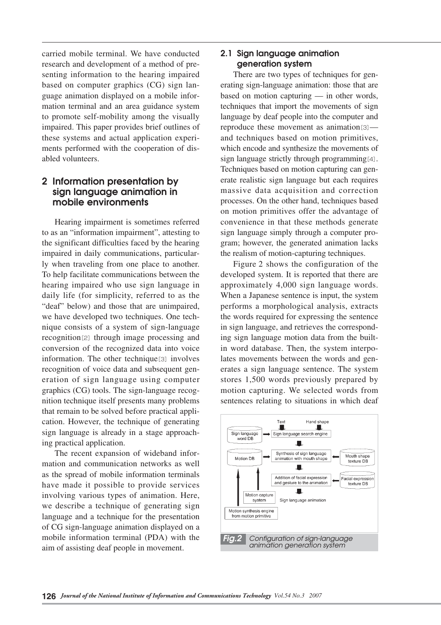carried mobile terminal. We have conducted research and development of a method of presenting information to the hearing impaired based on computer graphics (CG) sign language animation displayed on a mobile information terminal and an area guidance system to promote self-mobility among the visually impaired. This paper provides brief outlines of these systems and actual application experiments performed with the cooperation of disabled volunteers.

## **2 Information presentation by sign language animation in mobile environments**

Hearing impairment is sometimes referred to as an "information impairment", attesting to the significant difficulties faced by the hearing impaired in daily communications, particularly when traveling from one place to another. To help facilitate communications between the hearing impaired who use sign language in daily life (for simplicity, referred to as the "deaf" below) and those that are unimpaired, we have developed two techniques. One technique consists of a system of sign-language recognition<sup>[2]</sup> through image processing and conversion of the recognized data into voice information. The other technique<sup>[3]</sup> involves recognition of voice data and subsequent generation of sign language using computer graphics (CG) tools. The sign-language recognition technique itself presents many problems that remain to be solved before practical application. However, the technique of generating sign language is already in a stage approaching practical application.

The recent expansion of wideband information and communication networks as well as the spread of mobile information terminals have made it possible to provide services involving various types of animation. Here, we describe a technique of generating sign language and a technique for the presentation of CG sign-language animation displayed on a mobile information terminal (PDA) with the aim of assisting deaf people in movement.

## **2.1 Sign language animation generation system**

There are two types of techniques for generating sign-language animation: those that are based on motion capturing — in other words, techniques that import the movements of sign language by deaf people into the computer and reproduce these movement as animation<sup>[3]</sup> and techniques based on motion primitives, which encode and synthesize the movements of sign language strictly through programming[4]. Techniques based on motion capturing can generate realistic sign language but each requires massive data acquisition and correction processes. On the other hand, techniques based on motion primitives offer the advantage of convenience in that these methods generate sign language simply through a computer program; however, the generated animation lacks the realism of motion-capturing techniques.

Figure 2 shows the configuration of the developed system. It is reported that there are approximately 4,000 sign language words. When a Japanese sentence is input, the system performs a morphological analysis, extracts the words required for expressing the sentence in sign language, and retrieves the corresponding sign language motion data from the builtin word database. Then, the system interpolates movements between the words and generates a sign language sentence. The system stores 1,500 words previously prepared by motion capturing. We selected words from sentences relating to situations in which deaf

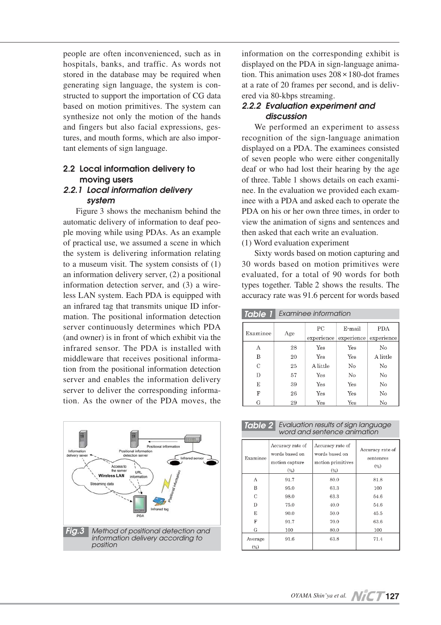people are often inconvenienced, such as in hospitals, banks, and traffic. As words not stored in the database may be required when generating sign language, the system is constructed to support the importation of CG data based on motion primitives. The system can synthesize not only the motion of the hands and fingers but also facial expressions, gestures, and mouth forms, which are also important elements of sign language.

## **2.2 Local information delivery to moving users**

# *2.2.1 Local information delivery system*

Figure 3 shows the mechanism behind the automatic delivery of information to deaf people moving while using PDAs. As an example of practical use, we assumed a scene in which the system is delivering information relating to a museum visit. The system consists of (1) an information delivery server, (2) a positional information detection server, and (3) a wireless LAN system. Each PDA is equipped with an infrared tag that transmits unique ID information. The positional information detection server continuously determines which PDA (and owner) is in front of which exhibit via the infrared sensor. The PDA is installed with middleware that receives positional information from the positional information detection server and enables the information delivery server to deliver the corresponding information. As the owner of the PDA moves, the



information on the corresponding exhibit is displayed on the PDA in sign-language animation. This animation uses 208×180-dot frames at a rate of 20 frames per second, and is delivered via 80-kbps streaming.

## *2.2.2 Evaluation experiment and discussion*

We performed an experiment to assess recognition of the sign-language animation displayed on a PDA. The examinees consisted of seven people who were either congenitally deaf or who had lost their hearing by the age of three. Table 1 shows details on each examinee. In the evaluation we provided each examinee with a PDA and asked each to operate the PDA on his or her own three times, in order to view the animation of signs and sentences and then asked that each write an evaluation.

(1) Word evaluation experiment

Sixty words based on motion capturing and 30 words based on motion primitives were evaluated, for a total of 90 words for both types together. Table 2 shows the results. The accuracy rate was 91.6 percent for words based

*Table 1 Examinee information*

| Examinee | Age | PС<br>experience | E-mail<br>experience | PDA<br>experience |
|----------|-----|------------------|----------------------|-------------------|
|          |     |                  |                      |                   |
| А        | 28  | Yes              | Yes                  | No                |
| в        | 20  | Yes              | Yes                  | A little          |
| C        | 25  | A little         | No                   | No                |
| D        | 57  | Yes              | $\rm No$             | No                |
| E        | 39  | Yes              | Yes                  | No                |
| F        | 26  | Yes              | Yes                  | No                |
| G        | 29  | Yes              | Yes                  | No                |

| <b>Table 2</b> Evaluation results of sign language<br>word and sentence animation |
|-----------------------------------------------------------------------------------|
|                                                                                   |

| Examinee       | Accuracy rate of<br>words based on<br>motion capture<br>(%) | Accuracy rate of<br>words based on<br>motion primitives<br>(%) | Accuracy rate of<br>sentences<br>(%) |
|----------------|-------------------------------------------------------------|----------------------------------------------------------------|--------------------------------------|
| А              | 91.7                                                        | 80.0                                                           | 81.8                                 |
| B              | 95.0                                                        | 63.3                                                           | 100                                  |
| $\mathcal{C}$  | 98.0                                                        | 63.3                                                           | 54.6                                 |
| D              | 75.0                                                        | 40.0                                                           | 54.6                                 |
| E              | 90.0                                                        | 50.0                                                           | 45.5                                 |
| F              | 91.7                                                        | 70.0                                                           | 63.6                                 |
| G              | 100                                                         | 80.0                                                           | 100                                  |
| Average<br>(%) | 91.6                                                        | 63.8                                                           | 71.4                                 |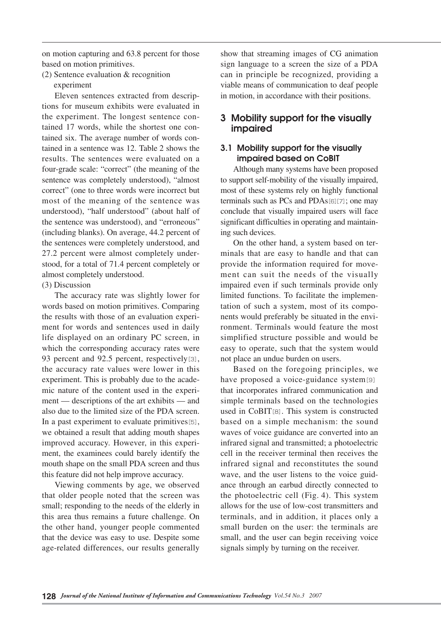on motion capturing and 63.8 percent for those based on motion primitives.

(2) Sentence evaluation & recognition experiment

Eleven sentences extracted from descriptions for museum exhibits were evaluated in the experiment. The longest sentence contained 17 words, while the shortest one contained six. The average number of words contained in a sentence was 12. Table 2 shows the results. The sentences were evaluated on a four-grade scale: "correct" (the meaning of the sentence was completely understood), "almost correct" (one to three words were incorrect but most of the meaning of the sentence was understood), "half understood" (about half of the sentence was understood), and "erroneous" (including blanks). On average, 44.2 percent of the sentences were completely understood, and 27.2 percent were almost completely understood, for a total of 71.4 percent completely or almost completely understood.

#### (3) Discussion

The accuracy rate was slightly lower for words based on motion primitives. Comparing the results with those of an evaluation experiment for words and sentences used in daily life displayed on an ordinary PC screen, in which the corresponding accuracy rates were 93 percent and 92.5 percent, respectively[3], the accuracy rate values were lower in this experiment. This is probably due to the academic nature of the content used in the experiment — descriptions of the art exhibits — and also due to the limited size of the PDA screen. In a past experiment to evaluate primitives[5], we obtained a result that adding mouth shapes improved accuracy. However, in this experiment, the examinees could barely identify the mouth shape on the small PDA screen and thus this feature did not help improve accuracy.

Viewing comments by age, we observed that older people noted that the screen was small; responding to the needs of the elderly in this area thus remains a future challenge. On the other hand, younger people commented that the device was easy to use. Despite some age-related differences, our results generally show that streaming images of CG animation sign language to a screen the size of a PDA can in principle be recognized, providing a viable means of communication to deaf people in motion, in accordance with their positions.

# **3 Mobility support for the visually impaired**

## **3.1 Mobility support for the visually impaired based on CoBIT**

Although many systems have been proposed to support self-mobility of the visually impaired, most of these systems rely on highly functional terminals such as PCs and PDAs[6][7]; one may conclude that visually impaired users will face significant difficulties in operating and maintaining such devices.

On the other hand, a system based on terminals that are easy to handle and that can provide the information required for movement can suit the needs of the visually impaired even if such terminals provide only limited functions. To facilitate the implementation of such a system, most of its components would preferably be situated in the environment. Terminals would feature the most simplified structure possible and would be easy to operate, such that the system would not place an undue burden on users.

Based on the foregoing principles, we have proposed a voice-guidance system[9] that incorporates infrared communication and simple terminals based on the technologies used in CoBIT[8]. This system is constructed based on a simple mechanism: the sound waves of voice guidance are converted into an infrared signal and transmitted; a photoelectric cell in the receiver terminal then receives the infrared signal and reconstitutes the sound wave, and the user listens to the voice guidance through an earbud directly connected to the photoelectric cell (Fig. 4). This system allows for the use of low-cost transmitters and terminals, and in addition, it places only a small burden on the user: the terminals are small, and the user can begin receiving voice signals simply by turning on the receiver.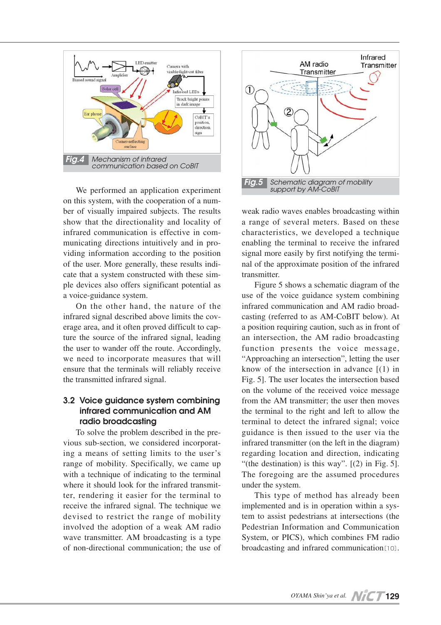

We performed an application experiment on this system, with the cooperation of a number of visually impaired subjects. The results show that the directionality and locality of infrared communication is effective in communicating directions intuitively and in providing information according to the position of the user. More generally, these results indicate that a system constructed with these simple devices also offers significant potential as a voice-guidance system.

On the other hand, the nature of the infrared signal described above limits the coverage area, and it often proved difficult to capture the source of the infrared signal, leading the user to wander off the route. Accordingly, we need to incorporate measures that will ensure that the terminals will reliably receive the transmitted infrared signal.

# **3.2 Voice guidance system combining infrared communication and AM radio broadcasting**

To solve the problem described in the previous sub-section, we considered incorporating a means of setting limits to the user's range of mobility. Specifically, we came up with a technique of indicating to the terminal where it should look for the infrared transmitter, rendering it easier for the terminal to receive the infrared signal. The technique we devised to restrict the range of mobility involved the adoption of a weak AM radio wave transmitter. AM broadcasting is a type of non-directional communication; the use of



weak radio waves enables broadcasting within a range of several meters. Based on these characteristics, we developed a technique enabling the terminal to receive the infrared signal more easily by first notifying the terminal of the approximate position of the infrared transmitter.

Figure 5 shows a schematic diagram of the use of the voice guidance system combining infrared communication and AM radio broadcasting (referred to as AM-CoBIT below). At a position requiring caution, such as in front of an intersection, the AM radio broadcasting function presents the voice message, "Approaching an intersection", letting the user know of the intersection in advance  $[(1)$  in Fig. 5]. The user locates the intersection based on the volume of the received voice message from the AM transmitter; the user then moves the terminal to the right and left to allow the terminal to detect the infrared signal; voice guidance is then issued to the user via the infrared transmitter (on the left in the diagram) regarding location and direction, indicating "(the destination) is this way".  $[(2)$  in Fig. 5]. The foregoing are the assumed procedures under the system.

This type of method has already been implemented and is in operation within a system to assist pedestrians at intersections (the Pedestrian Information and Communication System, or PICS), which combines FM radio broadcasting and infrared communication[10].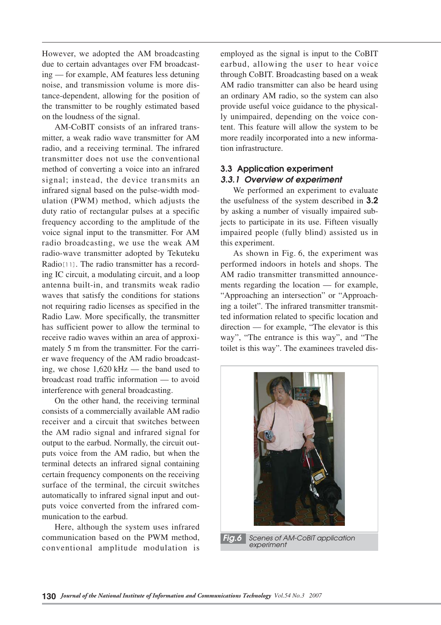However, we adopted the AM broadcasting due to certain advantages over FM broadcasting — for example, AM features less detuning noise, and transmission volume is more distance-dependent, allowing for the position of the transmitter to be roughly estimated based on the loudness of the signal.

AM-CoBIT consists of an infrared transmitter, a weak radio wave transmitter for AM radio, and a receiving terminal. The infrared transmitter does not use the conventional method of converting a voice into an infrared signal; instead, the device transmits an infrared signal based on the pulse-width modulation (PWM) method, which adjusts the duty ratio of rectangular pulses at a specific frequency according to the amplitude of the voice signal input to the transmitter. For AM radio broadcasting, we use the weak AM radio-wave transmitter adopted by Tekuteku Radio[11]. The radio transmitter has a recording IC circuit, a modulating circuit, and a loop antenna built-in, and transmits weak radio waves that satisfy the conditions for stations not requiring radio licenses as specified in the Radio Law. More specifically, the transmitter has sufficient power to allow the terminal to receive radio waves within an area of approximately 5 m from the transmitter. For the carrier wave frequency of the AM radio broadcasting, we chose 1,620 kHz — the band used to broadcast road traffic information — to avoid interference with general broadcasting.

On the other hand, the receiving terminal consists of a commercially available AM radio receiver and a circuit that switches between the AM radio signal and infrared signal for output to the earbud. Normally, the circuit outputs voice from the AM radio, but when the terminal detects an infrared signal containing certain frequency components on the receiving surface of the terminal, the circuit switches automatically to infrared signal input and outputs voice converted from the infrared communication to the earbud.

Here, although the system uses infrared communication based on the PWM method, conventional amplitude modulation is

employed as the signal is input to the CoBIT earbud, allowing the user to hear voice through CoBIT. Broadcasting based on a weak AM radio transmitter can also be heard using an ordinary AM radio, so the system can also provide useful voice guidance to the physically unimpaired, depending on the voice content. This feature will allow the system to be more readily incorporated into a new information infrastructure.

# **3.3 Application experiment** *3.3.1 Overview of experiment*

We performed an experiment to evaluate the usefulness of the system described in **3.2** by asking a number of visually impaired subjects to participate in its use. Fifteen visually impaired people (fully blind) assisted us in this experiment.

As shown in Fig. 6, the experiment was performed indoors in hotels and shops. The AM radio transmitter transmitted announcements regarding the location — for example, "Approaching an intersection" or "Approaching a toilet". The infrared transmitter transmitted information related to specific location and direction — for example, "The elevator is this way", "The entrance is this way", and "The toilet is this way". The examinees traveled dis-



*experiment*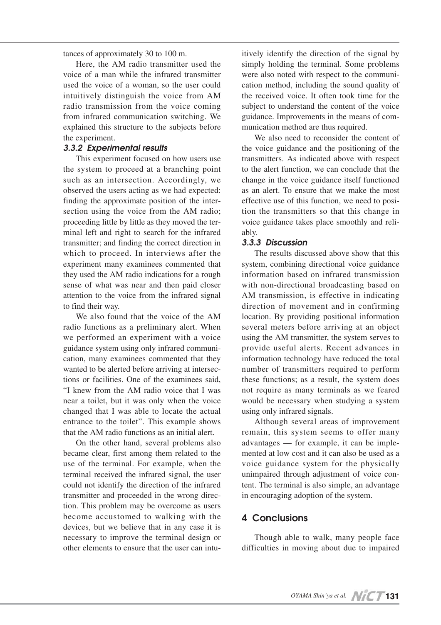tances of approximately 30 to 100 m.

Here, the AM radio transmitter used the voice of a man while the infrared transmitter used the voice of a woman, so the user could intuitively distinguish the voice from AM radio transmission from the voice coming from infrared communication switching. We explained this structure to the subjects before the experiment.

#### *3.3.2 Experimental results*

This experiment focused on how users use the system to proceed at a branching point such as an intersection. Accordingly, we observed the users acting as we had expected: finding the approximate position of the intersection using the voice from the AM radio; proceeding little by little as they moved the terminal left and right to search for the infrared transmitter; and finding the correct direction in which to proceed. In interviews after the experiment many examinees commented that they used the AM radio indications for a rough sense of what was near and then paid closer attention to the voice from the infrared signal to find their way.

We also found that the voice of the AM radio functions as a preliminary alert. When we performed an experiment with a voice guidance system using only infrared communication, many examinees commented that they wanted to be alerted before arriving at intersections or facilities. One of the examinees said, "I knew from the AM radio voice that I was near a toilet, but it was only when the voice changed that I was able to locate the actual entrance to the toilet". This example shows that the AM radio functions as an initial alert.

On the other hand, several problems also became clear, first among them related to the use of the terminal. For example, when the terminal received the infrared signal, the user could not identify the direction of the infrared transmitter and proceeded in the wrong direction. This problem may be overcome as users become accustomed to walking with the devices, but we believe that in any case it is necessary to improve the terminal design or other elements to ensure that the user can intuitively identify the direction of the signal by simply holding the terminal. Some problems were also noted with respect to the communication method, including the sound quality of the received voice. It often took time for the subject to understand the content of the voice guidance. Improvements in the means of communication method are thus required.

We also need to reconsider the content of the voice guidance and the positioning of the transmitters. As indicated above with respect to the alert function, we can conclude that the change in the voice guidance itself functioned as an alert. To ensure that we make the most effective use of this function, we need to position the transmitters so that this change in voice guidance takes place smoothly and reliably.

#### *3.3.3 Discussion*

The results discussed above show that this system, combining directional voice guidance information based on infrared transmission with non-directional broadcasting based on AM transmission, is effective in indicating direction of movement and in confirming location. By providing positional information several meters before arriving at an object using the AM transmitter, the system serves to provide useful alerts. Recent advances in information technology have reduced the total number of transmitters required to perform these functions; as a result, the system does not require as many terminals as we feared would be necessary when studying a system using only infrared signals.

Although several areas of improvement remain, this system seems to offer many advantages — for example, it can be implemented at low cost and it can also be used as a voice guidance system for the physically unimpaired through adjustment of voice content. The terminal is also simple, an advantage in encouraging adoption of the system.

# **4 Conclusions**

Though able to walk, many people face difficulties in moving about due to impaired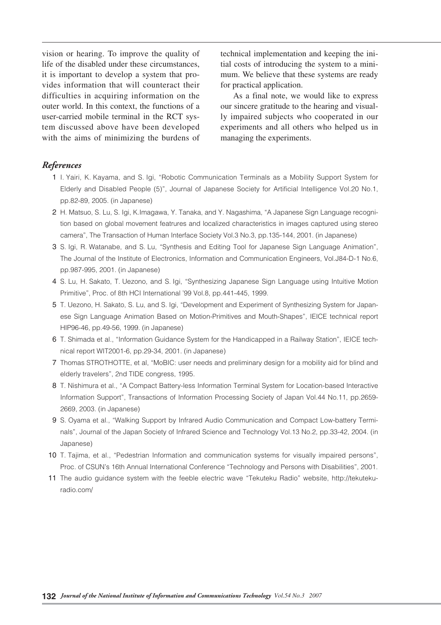vision or hearing. To improve the quality of life of the disabled under these circumstances, it is important to develop a system that provides information that will counteract their difficulties in acquiring information on the outer world. In this context, the functions of a user-carried mobile terminal in the RCT system discussed above have been developed with the aims of minimizing the burdens of technical implementation and keeping the initial costs of introducing the system to a minimum. We believe that these systems are ready for practical application.

As a final note, we would like to express our sincere gratitude to the hearing and visually impaired subjects who cooperated in our experiments and all others who helped us in managing the experiments.

#### *References*

- 01 I. Yairi, K. Kayama, and S. Igi, "Robotic Communication Terminals as a Mobility Support System for Elderly and Disabled People (5)", Journal of Japanese Society for Artificial Intelligence Vol.20 No.1, pp.82-89, 2005. (in Japanese)
- 02 H. Matsuo, S. Lu, S. Igi, K.Imagawa, Y. Tanaka, and Y. Nagashima, "A Japanese Sign Language recognition based on global movement featrures and localized characteristics in images captured using stereo camera", The Transaction of Human Interface Society Vol.3 No.3, pp.135-144, 2001. (in Japanese)
- 03 S. Igi, R. Watanabe, and S. Lu, "Synthesis and Editing Tool for Japanese Sign Language Animation", The Journal of the Institute of Electronics, Information and Communication Engineers, Vol.J84-D-1 No.6, pp.987-995, 2001. (in Japanese)
- 04 S. Lu, H. Sakato, T. Uezono, and S. Igi, "Synthesizing Japanese Sign Language using Intuitive Motion Primitive", Proc. of 8th HCI International '99 Vol.8, pp.441-445, 1999.
- 5 T. Uezono, H. Sakato, S. Lu, and S. Igi, "Development and Experiment of Synthesizing System for Japanese Sign Language Animation Based on Motion-Primitives and Mouth-Shapes", IEICE technical report HIP96-46, pp.49-56, 1999. (in Japanese)
- 06 T. Shimada et al., "Information Guidance System for the Handicapped in a Railway Station", IEICE technical report WIT2001-6, pp.29-34, 2001. (in Japanese)
- 07 Thomas STROTHOTTE, et al, "MoBIC: user needs and preliminary design for a mobility aid for blind and elderly travelers", 2nd TIDE congress, 1995.
- 8 T. Nishimura et al., "A Compact Battery-less Information Terminal System for Location-based Interactive Information Support", Transactions of Information Processing Society of Japan Vol.44 No.11, pp.2659- 2669, 2003. (in Japanese)
- 09 S. Oyama et al., "Walking Support by Infrared Audio Communication and Compact Low-battery Terminals", Journal of the Japan Society of Infrared Science and Technology Vol.13 No.2, pp.33-42, 2004. (in Japanese)
- 10 T. Tajima, et al., "Pedestrian Information and communication systems for visually impaired persons", Proc. of CSUN's 16th Annual International Conference "Technology and Persons with Disabilities", 2001.
- 11 The audio guidance system with the feeble electric wave "Tekuteku Radio" website, http://tekutekuradio.com/